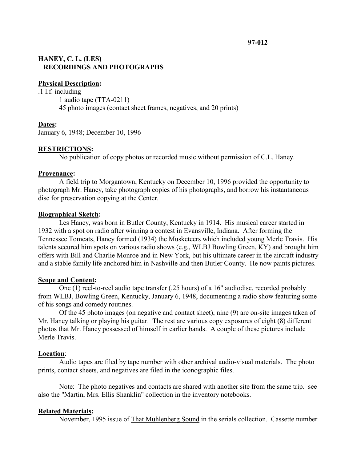# **HANEY, C. L. (LES) RECORDINGS AND PHOTOGRAPHS**

#### **Physical Description:**

.1 l.f. including 1 audio tape (TTA-0211) 45 photo images (contact sheet frames, negatives, and 20 prints)

## **Dates:**

January 6, 1948; December 10, 1996

## **RESTRICTIONS:**

No publication of copy photos or recorded music without permission of C.L. Haney.

#### **Provenance:**

A field trip to Morgantown, Kentucky on December 10, 1996 provided the opportunity to photograph Mr. Haney, take photograph copies of his photographs, and borrow his instantaneous disc for preservation copying at the Center.

### **Biographical Sketch:**

Les Haney, was born in Butler County, Kentucky in 1914. His musical career started in 1932 with a spot on radio after winning a contest in Evansville, Indiana. After forming the Tennessee Tomcats, Haney formed (1934) the Musketeers which included young Merle Travis. His talents secured him spots on various radio shows (e.g., WLBJ Bowling Green, KY) and brought him offers with Bill and Charlie Monroe and in New York, but his ultimate career in the aircraft industry and a stable family life anchored him in Nashville and then Butler County. He now paints pictures.

#### **Scope and Content:**

One (1) reel-to-reel audio tape transfer (.25 hours) of a 16" audiodisc, recorded probably from WLBJ, Bowling Green, Kentucky, January 6, 1948, documenting a radio show featuring some of his songs and comedy routines.

Of the 45 photo images (on negative and contact sheet), nine (9) are on-site images taken of Mr. Haney talking or playing his guitar. The rest are various copy exposures of eight (8) different photos that Mr. Haney possessed of himself in earlier bands. A couple of these pictures include Merle Travis.

## **Location**:

Audio tapes are filed by tape number with other archival audio-visual materials. The photo prints, contact sheets, and negatives are filed in the iconographic files.

Note: The photo negatives and contacts are shared with another site from the same trip. see also the "Martin, Mrs. Ellis Shanklin" collection in the inventory notebooks.

## **Related Materials:**

November, 1995 issue of That Muhlenberg Sound in the serials collection. Cassette number